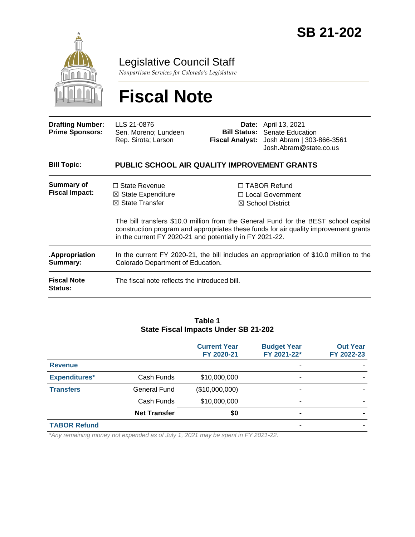

Legislative Council Staff

*Nonpartisan Services for Colorado's Legislature*

# **Fiscal Note**

| <b>Drafting Number:</b><br><b>Prime Sponsors:</b> | LLS 21-0876<br>Sen. Moreno; Lundeen<br>Rep. Sirota; Larson                                                                                      |  | <b>Date:</b> April 13, 2021<br><b>Bill Status:</b> Senate Education<br>Fiscal Analyst: Josh Abram   303-866-3561<br>Josh.Abram@state.co.us                                                                                                              |  |  |
|---------------------------------------------------|-------------------------------------------------------------------------------------------------------------------------------------------------|--|---------------------------------------------------------------------------------------------------------------------------------------------------------------------------------------------------------------------------------------------------------|--|--|
| <b>Bill Topic:</b>                                | <b>PUBLIC SCHOOL AIR QUALITY IMPROVEMENT GRANTS</b>                                                                                             |  |                                                                                                                                                                                                                                                         |  |  |
| Summary of<br><b>Fiscal Impact:</b>               | $\Box$ State Revenue<br>$\boxtimes$ State Expenditure<br>$\boxtimes$ State Transfer<br>in the current FY 2020-21 and potentially in FY 2021-22. |  | $\Box$ TABOR Refund<br>□ Local Government<br>$\boxtimes$ School District<br>The bill transfers \$10.0 million from the General Fund for the BEST school capital<br>construction program and appropriates these funds for air quality improvement grants |  |  |
| Appropriation.<br>Summary:                        | In the current FY 2020-21, the bill includes an appropriation of \$10.0 million to the<br>Colorado Department of Education.                     |  |                                                                                                                                                                                                                                                         |  |  |
| <b>Fiscal Note</b><br><b>Status:</b>              | The fiscal note reflects the introduced bill.                                                                                                   |  |                                                                                                                                                                                                                                                         |  |  |

#### **Table 1 State Fiscal Impacts Under SB 21-202**

|                      |                     | <b>Current Year</b><br>FY 2020-21 | <b>Budget Year</b><br>FY 2021-22* | <b>Out Year</b><br>FY 2022-23 |
|----------------------|---------------------|-----------------------------------|-----------------------------------|-------------------------------|
| <b>Revenue</b>       |                     |                                   |                                   |                               |
| <b>Expenditures*</b> | Cash Funds          | \$10,000,000                      | -                                 |                               |
| <b>Transfers</b>     | General Fund        | (\$10,000,000)                    |                                   |                               |
|                      | Cash Funds          | \$10,000,000                      | -                                 |                               |
|                      | <b>Net Transfer</b> | \$0                               | -                                 |                               |
| <b>TABOR Refund</b>  |                     |                                   |                                   |                               |

*\*Any remaining money not expended as of July 1, 2021 may be spent in FY 2021-22.*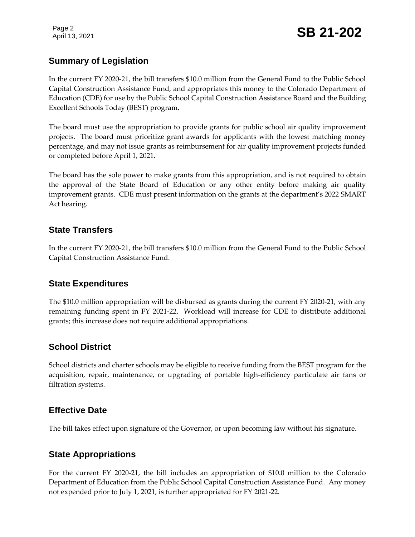Page 2

## **Summary of Legislation**

In the current FY 2020-21, the bill transfers \$10.0 million from the General Fund to the Public School Capital Construction Assistance Fund, and appropriates this money to the Colorado Department of Education (CDE) for use by the Public School Capital Construction Assistance Board and the Building Excellent Schools Today (BEST) program.

The board must use the appropriation to provide grants for public school air quality improvement projects. The board must prioritize grant awards for applicants with the lowest matching money percentage, and may not issue grants as reimbursement for air quality improvement projects funded or completed before April 1, 2021.

The board has the sole power to make grants from this appropriation, and is not required to obtain the approval of the State Board of Education or any other entity before making air quality improvement grants. CDE must present information on the grants at the department's 2022 SMART Act hearing.

## **State Transfers**

In the current FY 2020-21, the bill transfers \$10.0 million from the General Fund to the Public School Capital Construction Assistance Fund.

### **State Expenditures**

The \$10.0 million appropriation will be disbursed as grants during the current FY 2020-21, with any remaining funding spent in FY 2021-22. Workload will increase for CDE to distribute additional grants; this increase does not require additional appropriations.

## **School District**

School districts and charter schools may be eligible to receive funding from the BEST program for the acquisition, repair, maintenance, or upgrading of portable high-efficiency particulate air fans or filtration systems.

## **Effective Date**

The bill takes effect upon signature of the Governor, or upon becoming law without his signature.

## **State Appropriations**

For the current FY 2020-21, the bill includes an appropriation of \$10.0 million to the Colorado Department of Education from the Public School Capital Construction Assistance Fund. Any money not expended prior to July 1, 2021, is further appropriated for FY 2021-22.